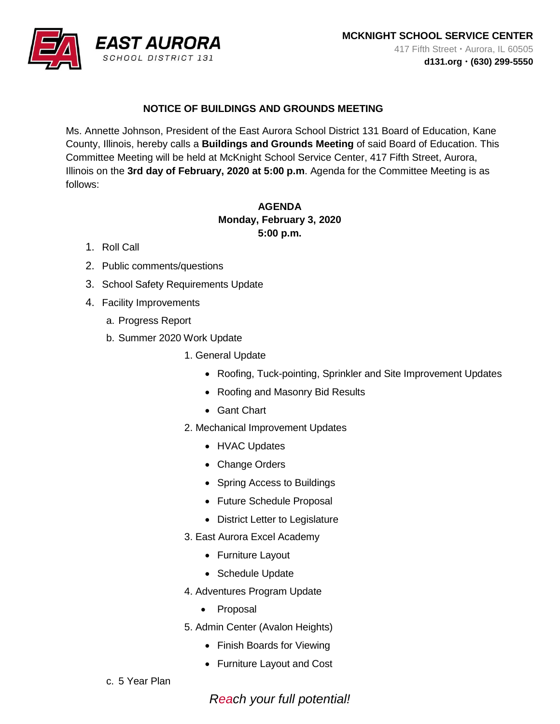

## **NOTICE OF BUILDINGS AND GROUNDS MEETING**

Ms. Annette Johnson, President of the East Aurora School District 131 Board of Education, Kane County, Illinois, hereby calls a **Buildings and Grounds Meeting** of said Board of Education. This Committee Meeting will be held at McKnight School Service Center, 417 Fifth Street, Aurora, Illinois on the **3rd day of February, 2020 at 5:00 p.m**. Agenda for the Committee Meeting is as follows:

## **AGENDA Monday, February 3, 2020 5:00 p.m.**

- 1. Roll Call
- 2. Public comments/questions
- 3. School Safety Requirements Update
- 4. Facility Improvements
	- a. Progress Report
	- b. Summer 2020 Work Update
		- 1. General Update
			- Roofing, Tuck-pointing, Sprinkler and Site Improvement Updates
			- Roofing and Masonry Bid Results
			- Gant Chart
		- 2. Mechanical Improvement Updates
			- HVAC Updates
			- Change Orders
			- Spring Access to Buildings
			- Future Schedule Proposal
			- District Letter to Legislature
		- 3. East Aurora Excel Academy
			- Furniture Layout
			- Schedule Update
		- 4. Adventures Program Update
			- Proposal
		- 5. Admin Center (Avalon Heights)
			- Finish Boards for Viewing
			- Furniture Layout and Cost
	- c. 5 Year Plan

*Reach your full potential!*